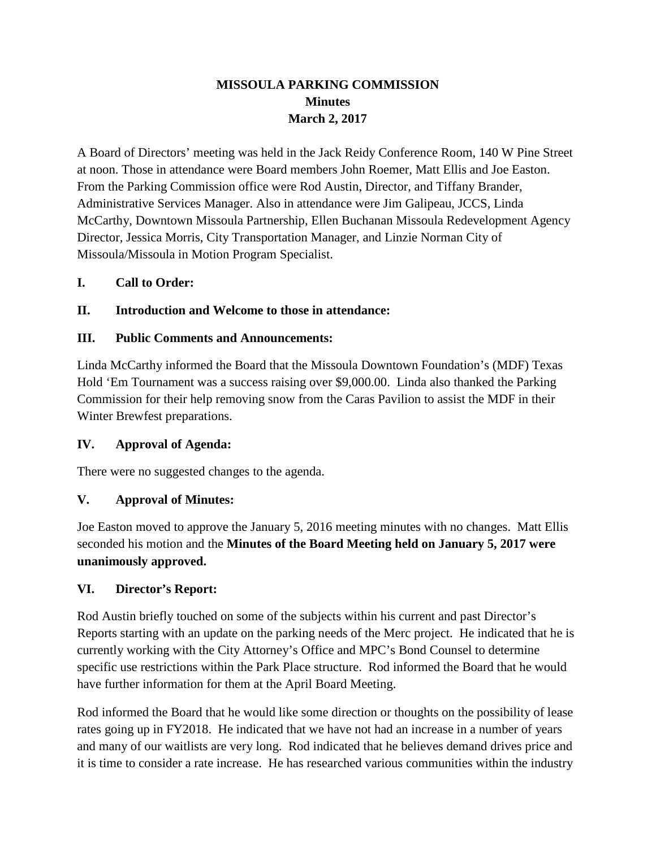# **MISSOULA PARKING COMMISSION Minutes March 2, 2017**

A Board of Directors' meeting was held in the Jack Reidy Conference Room, 140 W Pine Street at noon. Those in attendance were Board members John Roemer, Matt Ellis and Joe Easton. From the Parking Commission office were Rod Austin, Director, and Tiffany Brander, Administrative Services Manager. Also in attendance were Jim Galipeau, JCCS, Linda McCarthy, Downtown Missoula Partnership, Ellen Buchanan Missoula Redevelopment Agency Director, Jessica Morris, City Transportation Manager, and Linzie Norman City of Missoula/Missoula in Motion Program Specialist.

### **I. Call to Order:**

# **II. Introduction and Welcome to those in attendance:**

# **III. Public Comments and Announcements:**

Linda McCarthy informed the Board that the Missoula Downtown Foundation's (MDF) Texas Hold 'Em Tournament was a success raising over \$9,000.00. Linda also thanked the Parking Commission for their help removing snow from the Caras Pavilion to assist the MDF in their Winter Brewfest preparations.

### **IV. Approval of Agenda:**

There were no suggested changes to the agenda.

# **V. Approval of Minutes:**

Joe Easton moved to approve the January 5, 2016 meeting minutes with no changes. Matt Ellis seconded his motion and the **Minutes of the Board Meeting held on January 5, 2017 were unanimously approved.**

### **VI. Director's Report:**

Rod Austin briefly touched on some of the subjects within his current and past Director's Reports starting with an update on the parking needs of the Merc project. He indicated that he is currently working with the City Attorney's Office and MPC's Bond Counsel to determine specific use restrictions within the Park Place structure. Rod informed the Board that he would have further information for them at the April Board Meeting.

Rod informed the Board that he would like some direction or thoughts on the possibility of lease rates going up in FY2018. He indicated that we have not had an increase in a number of years and many of our waitlists are very long. Rod indicated that he believes demand drives price and it is time to consider a rate increase. He has researched various communities within the industry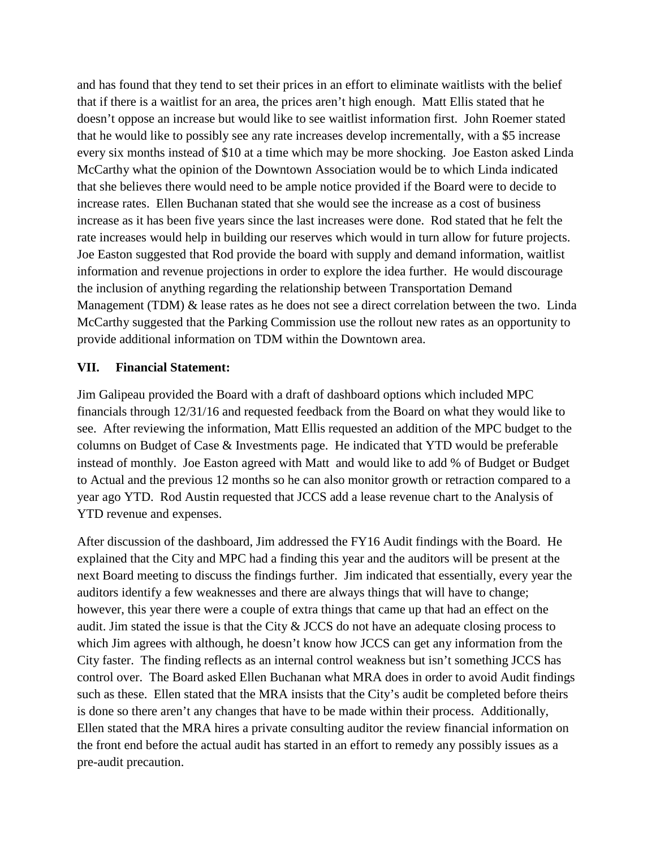and has found that they tend to set their prices in an effort to eliminate waitlists with the belief that if there is a waitlist for an area, the prices aren't high enough. Matt Ellis stated that he doesn't oppose an increase but would like to see waitlist information first. John Roemer stated that he would like to possibly see any rate increases develop incrementally, with a \$5 increase every six months instead of \$10 at a time which may be more shocking. Joe Easton asked Linda McCarthy what the opinion of the Downtown Association would be to which Linda indicated that she believes there would need to be ample notice provided if the Board were to decide to increase rates. Ellen Buchanan stated that she would see the increase as a cost of business increase as it has been five years since the last increases were done. Rod stated that he felt the rate increases would help in building our reserves which would in turn allow for future projects. Joe Easton suggested that Rod provide the board with supply and demand information, waitlist information and revenue projections in order to explore the idea further. He would discourage the inclusion of anything regarding the relationship between Transportation Demand Management (TDM) & lease rates as he does not see a direct correlation between the two. Linda McCarthy suggested that the Parking Commission use the rollout new rates as an opportunity to provide additional information on TDM within the Downtown area.

#### **VII. Financial Statement:**

Jim Galipeau provided the Board with a draft of dashboard options which included MPC financials through 12/31/16 and requested feedback from the Board on what they would like to see. After reviewing the information, Matt Ellis requested an addition of the MPC budget to the columns on Budget of Case & Investments page. He indicated that YTD would be preferable instead of monthly. Joe Easton agreed with Matt and would like to add % of Budget or Budget to Actual and the previous 12 months so he can also monitor growth or retraction compared to a year ago YTD. Rod Austin requested that JCCS add a lease revenue chart to the Analysis of YTD revenue and expenses.

After discussion of the dashboard, Jim addressed the FY16 Audit findings with the Board. He explained that the City and MPC had a finding this year and the auditors will be present at the next Board meeting to discuss the findings further. Jim indicated that essentially, every year the auditors identify a few weaknesses and there are always things that will have to change; however, this year there were a couple of extra things that came up that had an effect on the audit. Jim stated the issue is that the City & JCCS do not have an adequate closing process to which Jim agrees with although, he doesn't know how JCCS can get any information from the City faster. The finding reflects as an internal control weakness but isn't something JCCS has control over. The Board asked Ellen Buchanan what MRA does in order to avoid Audit findings such as these. Ellen stated that the MRA insists that the City's audit be completed before theirs is done so there aren't any changes that have to be made within their process. Additionally, Ellen stated that the MRA hires a private consulting auditor the review financial information on the front end before the actual audit has started in an effort to remedy any possibly issues as a pre-audit precaution.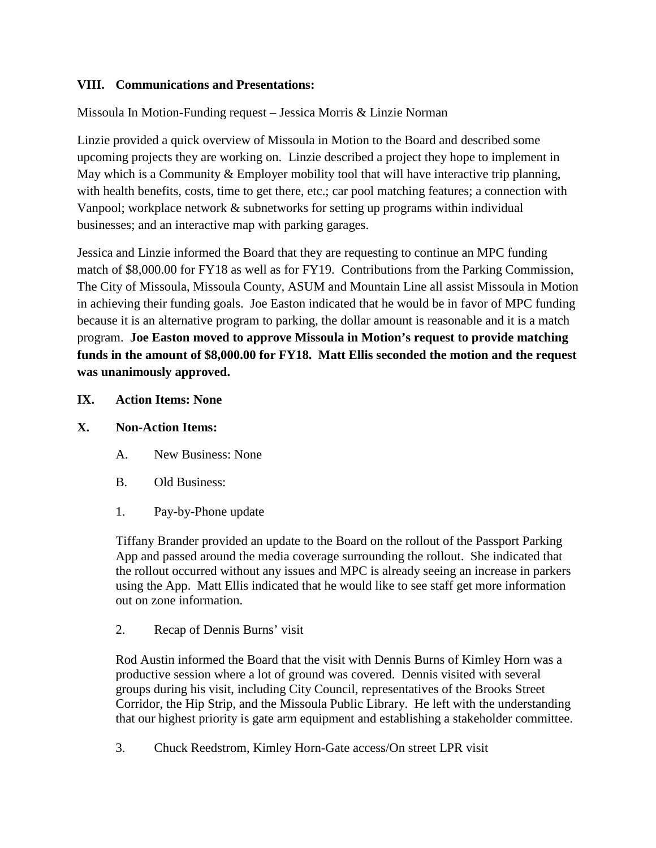# **VIII. Communications and Presentations:**

Missoula In Motion-Funding request – Jessica Morris & Linzie Norman

Linzie provided a quick overview of Missoula in Motion to the Board and described some upcoming projects they are working on. Linzie described a project they hope to implement in May which is a Community  $&$  Employer mobility tool that will have interactive trip planning, with health benefits, costs, time to get there, etc.; car pool matching features; a connection with Vanpool; workplace network & subnetworks for setting up programs within individual businesses; and an interactive map with parking garages.

Jessica and Linzie informed the Board that they are requesting to continue an MPC funding match of \$8,000.00 for FY18 as well as for FY19. Contributions from the Parking Commission, The City of Missoula, Missoula County, ASUM and Mountain Line all assist Missoula in Motion in achieving their funding goals. Joe Easton indicated that he would be in favor of MPC funding because it is an alternative program to parking, the dollar amount is reasonable and it is a match program. **Joe Easton moved to approve Missoula in Motion's request to provide matching funds in the amount of \$8,000.00 for FY18. Matt Ellis seconded the motion and the request was unanimously approved.**

### **IX. Action Items: None**

### **X. Non-Action Items:**

- A. New Business: None
- B. Old Business:
- 1. Pay-by-Phone update

Tiffany Brander provided an update to the Board on the rollout of the Passport Parking App and passed around the media coverage surrounding the rollout. She indicated that the rollout occurred without any issues and MPC is already seeing an increase in parkers using the App. Matt Ellis indicated that he would like to see staff get more information out on zone information.

2. Recap of Dennis Burns' visit

Rod Austin informed the Board that the visit with Dennis Burns of Kimley Horn was a productive session where a lot of ground was covered. Dennis visited with several groups during his visit, including City Council, representatives of the Brooks Street Corridor, the Hip Strip, and the Missoula Public Library. He left with the understanding that our highest priority is gate arm equipment and establishing a stakeholder committee.

3. Chuck Reedstrom, Kimley Horn-Gate access/On street LPR visit